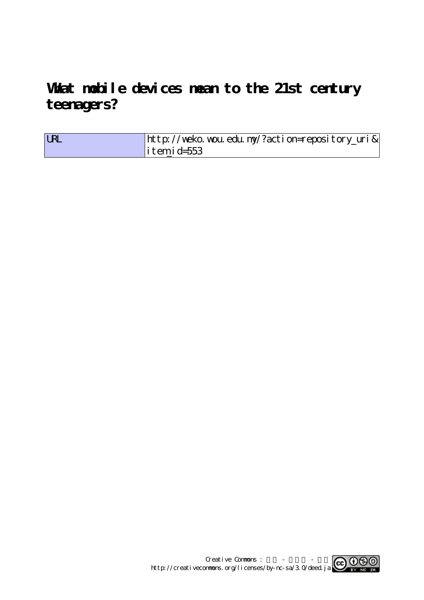**What mobile devices mean to the 21st century teenagers?**

| <b>URL</b> | http://weko.wou.edu.my/?action=repository_uri& |
|------------|------------------------------------------------|
|            | $\vert$ itemid=553                             |

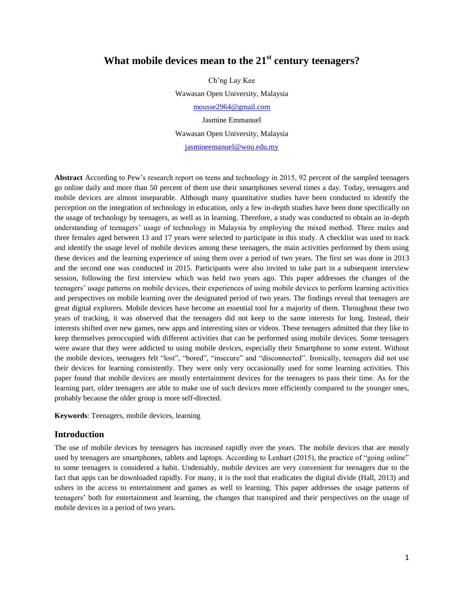# **What mobile devices mean to the 21st century teenagers?**

Ch'ng Lay Kee Wawasan Open University, Malaysia [mousse2964@gmail.com](mailto:ina@usm.my) Jasmine Emmanuel Wawasan Open University, Malaysia [jasmineemanuel@wou.edu.my](mailto:jasmineemanuel@wou.edu.my)

**Abstract** According to Pew's research report on teens and technology in 2015, 92 percent of the sampled teenagers go online daily and more than 50 percent of them use their smartphones several times a day. Today, teenagers and mobile devices are almost inseparable. Although many quantitative studies have been conducted to identify the perception on the integration of technology in education, only a few in-depth studies have been done specifically on the usage of technology by teenagers, as well as in learning. Therefore, a study was conducted to obtain an in-depth understanding of teenagers' usage of technology in Malaysia by employing the mixed method. Three males and three females aged between 13 and 17 years were selected to participate in this study. A checklist was used to track and identify the usage level of mobile devices among these teenagers, the main activities performed by them using these devices and the learning experience of using them over a period of two years. The first set was done in 2013 and the second one was conducted in 2015. Participants were also invited to take part in a subsequent interview session, following the first interview which was held two years ago. This paper addresses the changes of the teenagers' usage patterns on mobile devices, their experiences of using mobile devices to perform learning activities and perspectives on mobile learning over the designated period of two years. The findings reveal that teenagers are great digital explorers. Mobile devices have become an essential tool for a majority of them. Throughout these two years of tracking, it was observed that the teenagers did not keep to the same interests for long. Instead, their interests shifted over new games, new apps and interesting sites or videos. These teenagers admitted that they like to keep themselves preoccupied with different activities that can be performed using mobile devices. Some teenagers were aware that they were addicted to using mobile devices, especially their Smartphone to some extent. Without the mobile devices, teenagers felt "lost", "bored", "insecure" and "disconnected". Ironically, teenagers did not use their devices for learning consistently. They were only very occasionally used for some learning activities. This paper found that mobile devices are mostly entertainment devices for the teenagers to pass their time. As for the learning part, older teenagers are able to make use of such devices more efficiently compared to the younger ones, probably because the older group is more self-directed.

**Keywords**: Teenagers, mobile devices, learning

#### **Introduction**

The use of mobile devices by teenagers has increased rapidly over the years. The mobile devices that are mostly used by teenagers are smartphones, tablets and laptops. According to Lenhart (2015), the practice of "going online" to some teenagers is considered a habit. Undeniably, mobile devices are very convenient for teenagers due to the fact that apps can be downloaded rapidly. For many, it is the tool that eradicates the digital divide (Hall, 2013) and ushers in the access to entertainment and games as well to learning. This paper addresses the usage patterns of teenagers' both for entertainment and learning, the changes that transpired and their perspectives on the usage of mobile devices in a period of two years.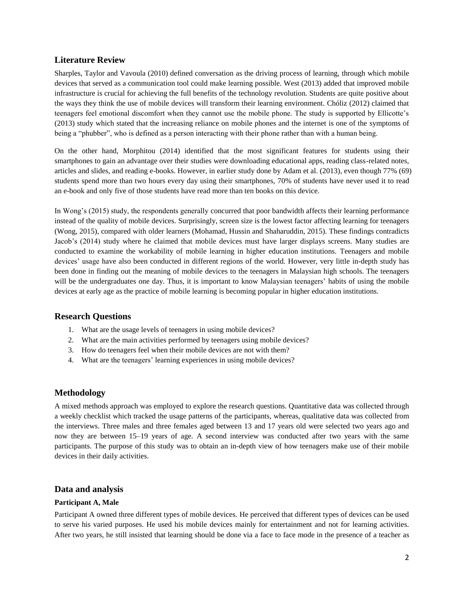# **Literature Review**

Sharples, Taylor and Vavoula (2010) defined conversation as the driving process of learning, through which mobile devices that served as a communication tool could make learning possible. West (2013) added that improved mobile infrastructure is crucial for achieving the full benefits of the technology revolution. Students are quite positive about the ways they think the use of mobile devices will transform their learning environment. Chóliz (2012) claimed that teenagers feel emotional discomfort when they cannot use the mobile phone. The study is supported by Ellicotte's (2013) study which stated that the increasing reliance on mobile phones and the internet is one of the symptoms of being a "phubber", who is defined as a person interacting with their phone rather than with a human being.

On the other hand, Morphitou (2014) identified that the most significant features for students using their smartphones to gain an advantage over their studies were downloading educational apps, reading class-related notes, articles and slides, and reading e-books. However, in earlier study done by Adam et al. (2013), even though 77% (69) students spend more than two hours every day using their smartphones, 70% of students have never used it to read an e-book and only five of those students have read more than ten books on this device.

In Wong's (2015) study, the respondents generally concurred that poor bandwidth affects their learning performance instead of the quality of mobile devices. Surprisingly, screen size is the lowest factor affecting learning for teenagers (Wong, 2015), compared with older learners (Mohamad, Hussin and Shaharuddin, 2015). These findings contradicts Jacob's (2014) study where he claimed that mobile devices must have larger displays screens. Many studies are conducted to examine the workability of mobile learning in higher education institutions. Teenagers and mobile devices' usage have also been conducted in different regions of the world. However, very little in-depth study has been done in finding out the meaning of mobile devices to the teenagers in Malaysian high schools. The teenagers will be the undergraduates one day. Thus, it is important to know Malaysian teenagers' habits of using the mobile devices at early age as the practice of mobile learning is becoming popular in higher education institutions.

# **Research Questions**

- 1. What are the usage levels of teenagers in using mobile devices?
- 2. What are the main activities performed by teenagers using mobile devices?
- 3. How do teenagers feel when their mobile devices are not with them?
- 4. What are the teenagers' learning experiences in using mobile devices?

# **Methodology**

A mixed methods approach was employed to explore the research questions. Quantitative data was collected through a weekly checklist which tracked the usage patterns of the participants, whereas, qualitative data was collected from the interviews. Three males and three females aged between 13 and 17 years old were selected two years ago and now they are between 15–19 years of age. A second interview was conducted after two years with the same participants. The purpose of this study was to obtain an in-depth view of how teenagers make use of their mobile devices in their daily activities.

# **Data and analysis**

#### **Participant A, Male**

Participant A owned three different types of mobile devices. He perceived that different types of devices can be used to serve his varied purposes. He used his mobile devices mainly for entertainment and not for learning activities. After two years, he still insisted that learning should be done via a face to face mode in the presence of a teacher as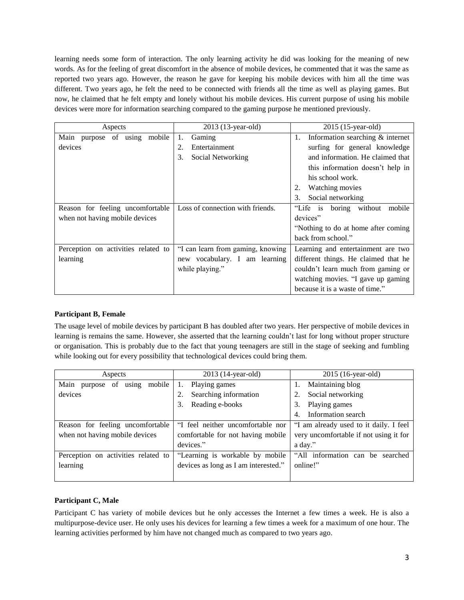learning needs some form of interaction. The only learning activity he did was looking for the meaning of new words. As for the feeling of great discomfort in the absence of mobile devices, he commented that it was the same as reported two years ago. However, the reason he gave for keeping his mobile devices with him all the time was different. Two years ago, he felt the need to be connected with friends all the time as well as playing games. But now, he claimed that he felt empty and lonely without his mobile devices. His current purpose of using his mobile devices were more for information searching compared to the gaming purpose he mentioned previously.

| Aspects                             | 2013 (13-year-old)                | 2015 (15-year-old)                     |
|-------------------------------------|-----------------------------------|----------------------------------------|
| Main purpose of using mobile        | 1.<br>Gaming                      | Information searching & internet<br>1. |
| devices                             | 2.<br>Entertainment               | surfing for general knowledge          |
|                                     | 3.<br>Social Networking           | and information. He claimed that       |
|                                     |                                   | this information doesn't help in       |
|                                     |                                   | his school work.                       |
|                                     |                                   | <b>Watching movies</b>                 |
|                                     |                                   | Social networking<br>3.                |
| Reason for feeling uncomfortable    | Loss of connection with friends.  | "Life is boring without<br>mobile      |
| when not having mobile devices      |                                   | devices"                               |
|                                     |                                   | "Nothing to do at home after coming"   |
|                                     |                                   | back from school."                     |
| Perception on activities related to | "I can learn from gaming, knowing | Learning and entertainment are two     |
| learning                            | new vocabulary. I am learning     | different things. He claimed that he   |
|                                     | while playing."                   | couldn't learn much from gaming or     |
|                                     |                                   | watching movies. "I gave up gaming     |
|                                     |                                   | because it is a waste of time."        |

# **Participant B, Female**

The usage level of mobile devices by participant B has doubled after two years. Her perspective of mobile devices in learning is remains the same. However, she asserted that the learning couldn't last for long without proper structure or organisation. This is probably due to the fact that young teenagers are still in the stage of seeking and fumbling while looking out for every possibility that technological devices could bring them.

| Aspects                                  | 2013 (14-year-old)                   | 2015 (16-year-old)                     |
|------------------------------------------|--------------------------------------|----------------------------------------|
| Main<br>mobile<br>of<br>using<br>purpose | Playing games<br>1.                  | Maintaining blog                       |
| devices                                  | Searching information                | Social networking                      |
|                                          | Reading e-books<br>3.                | 3.<br>Playing games                    |
|                                          |                                      | Information search<br>4.               |
| Reason for feeling uncomfortable         | "I feel neither uncomfortable nor    | "I am already used to it daily. I feel |
| when not having mobile devices           | comfortable for not having mobile    | very uncomfortable if not using it for |
|                                          | devices."                            | a day."                                |
| Perception on activities related to      | "Learning is workable by mobile      | "All information can be<br>searched    |
| learning                                 | devices as long as I am interested." | online!"                               |
|                                          |                                      |                                        |

# **Participant C, Male**

Participant C has variety of mobile devices but he only accesses the Internet a few times a week. He is also a multipurpose-device user. He only uses his devices for learning a few times a week for a maximum of one hour. The learning activities performed by him have not changed much as compared to two years ago.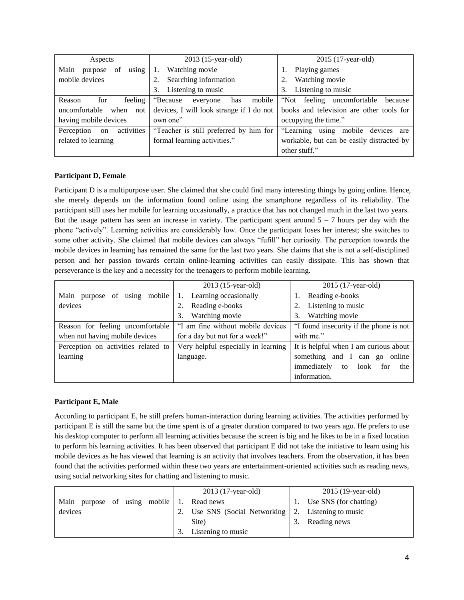| Aspects                        | 2013 (15-year-old)                       | 2015 (17-year-old)                        |
|--------------------------------|------------------------------------------|-------------------------------------------|
| using<br>Main<br>of<br>purpose | Watching movie                           | Playing games                             |
| mobile devices                 | Searching information                    | Watching movie                            |
|                                | Listening to music<br>3.                 | Listening to music<br>3.                  |
| feeling<br>for<br>Reason       | "Because"<br>mobile<br>has<br>everyone   | "Not feeling uncomfortable"<br>because    |
| uncomfortable<br>when<br>not   | devices, I will look strange if I do not | books and television are other tools for  |
| having mobile devices          | own one"                                 | occupying the time."                      |
| activities<br>Perception<br>on | "Teacher is still preferred by him for   | "Learning using mobile devices are        |
| related to learning            | formal learning activities."             | workable, but can be easily distracted by |
|                                |                                          | other stuff."                             |

#### **Participant D, Female**

Participant D is a multipurpose user. She claimed that she could find many interesting things by going online. Hence, she merely depends on the information found online using the smartphone regardless of its reliability. The participant still uses her mobile for learning occasionally, a practice that has not changed much in the last two years. But the usage pattern has seen an increase in variety. The participant spent around  $5 - 7$  hours per day with the phone "actively". Learning activities are considerably low. Once the participant loses her interest; she switches to some other activity. She claimed that mobile devices can always "fufill" her curiosity. The perception towards the mobile devices in learning has remained the same for the last two years. She claims that she is not a self-disciplined person and her passion towards certain online-learning activities can easily dissipate. This has shown that perseverance is the key and a necessity for the teenagers to perform mobile learning.

|                                     | 2013 (15-year-old)                  | 2015 (17-year-old)                      |
|-------------------------------------|-------------------------------------|-----------------------------------------|
| Main<br>using mobile<br>purpose of  | Learning occasionally<br>1.         | Reading e-books                         |
| devices                             | Reading e-books                     | Listening to music                      |
|                                     | Watching movie<br>3.                | Watching movie<br>3.                    |
| Reason for feeling uncomfortable    | "I am fine without mobile devices   | "I found insecurity if the phone is not |
| when not having mobile devices      | for a day but not for a week!"      | with me."                               |
| Perception on activities related to | Very helpful especially in learning | It is helpful when I am curious about   |
| learning                            | language.                           | something and I can go<br>online        |
|                                     |                                     | immediately<br>look for<br>to<br>the    |
|                                     |                                     | information.                            |

#### **Participant E, Male**

According to participant E, he still prefers human-interaction during learning activities. The activities performed by participant E is still the same but the time spent is of a greater duration compared to two years ago. He prefers to use his desktop computer to perform all learning activities because the screen is big and he likes to be in a fixed location to perform his learning activities. It has been observed that participant E did not take the initiative to learn using his mobile devices as he has viewed that learning is an activity that involves teachers. From the observation, it has been found that the activities performed within these two years are entertainment-oriented activities such as reading news, using social networking sites for chatting and listening to music.

|                                        | 2013 (17-year-old)                    | 2015 (19-year-old)     |
|----------------------------------------|---------------------------------------|------------------------|
| using mobile<br>Main<br>purpose<br>-of | Read news                             | Use SNS (for chatting) |
| devices                                | Use SNS (Social Networking $\vert$ 2. | Listening to music     |
|                                        | Site)                                 | Reading news           |
|                                        | Listening to music                    |                        |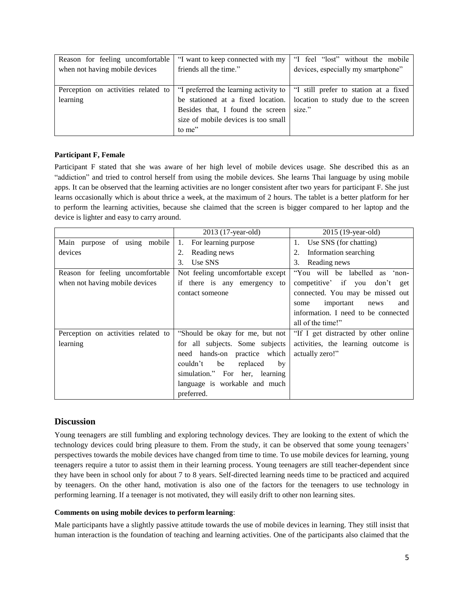| Reason for feeling uncomfortable |                                     | "I want to keep connected with my   "I feel "lost" without the mobile"                                                          |
|----------------------------------|-------------------------------------|---------------------------------------------------------------------------------------------------------------------------------|
| when not having mobile devices   | friends all the time."              | devices, especially my smartphone"                                                                                              |
|                                  |                                     |                                                                                                                                 |
|                                  |                                     | Perception on activities related to $\vert$ "I preferred the learning activity to $\vert$ "I still prefer to station at a fixed |
| learning                         |                                     | be stationed at a fixed location.   location to study due to the screen                                                         |
|                                  | Besides that, I found the screen    | size."                                                                                                                          |
|                                  | size of mobile devices is too small |                                                                                                                                 |
|                                  | to me"                              |                                                                                                                                 |

#### **Participant F, Female**

Participant F stated that she was aware of her high level of mobile devices usage. She described this as an "addiction" and tried to control herself from using the mobile devices. She learns Thai language by using mobile apps. It can be observed that the learning activities are no longer consistent after two years for participant F. She just learns occasionally which is about thrice a week, at the maximum of 2 hours. The tablet is a better platform for her to perform the learning activities, because she claimed that the screen is bigger compared to her laptop and the device is lighter and easy to carry around.

|                                     | 2013 (17-year-old)               | 2015 (19-year-old)                             |
|-------------------------------------|----------------------------------|------------------------------------------------|
| Main purpose of using mobile        | For learning purpose<br>1.       | Use SNS (for chatting)<br>1.                   |
| devices                             | Reading news<br>2.               | Information searching<br>2.                    |
|                                     | 3.<br>Use SNS                    | Reading news<br>3.                             |
| Reason for feeling uncomfortable    | Not feeling uncomfortable except | "You will be labelled<br>$^{\circ}$ non-<br>as |
| when not having mobile devices      | if there is any emergency to     | competitive' if you don't<br>get               |
|                                     | contact someone                  | connected. You may be missed out               |
|                                     |                                  | important<br>and<br>some<br>news               |
|                                     |                                  | information. I need to be connected            |
|                                     |                                  | all of the time!"                              |
| Perception on activities related to | "Should be okay for me, but not  | "If I get distracted by other online           |
| learning                            | for all subjects. Some subjects  | activities, the learning outcome is            |
|                                     | need hands-on practice which     | actually zero!"                                |
|                                     | replaced<br>couldn't<br>be<br>by |                                                |
|                                     | simulation." For her, learning   |                                                |
|                                     | language is workable and much    |                                                |
|                                     | preferred.                       |                                                |

# **Discussion**

Young teenagers are still fumbling and exploring technology devices. They are looking to the extent of which the technology devices could bring pleasure to them. From the study, it can be observed that some young teenagers' perspectives towards the mobile devices have changed from time to time. To use mobile devices for learning, young teenagers require a tutor to assist them in their learning process. Young teenagers are still teacher-dependent since they have been in school only for about 7 to 8 years. Self-directed learning needs time to be practiced and acquired by teenagers. On the other hand, motivation is also one of the factors for the teenagers to use technology in performing learning. If a teenager is not motivated, they will easily drift to other non learning sites.

#### **Comments on using mobile devices to perform learning**:

Male participants have a slightly passive attitude towards the use of mobile devices in learning. They still insist that human interaction is the foundation of teaching and learning activities. One of the participants also claimed that the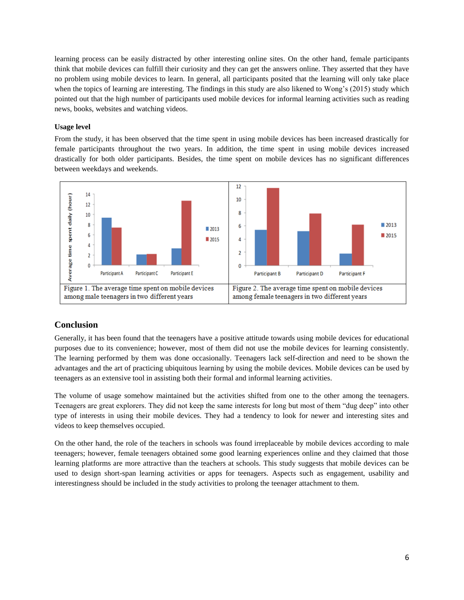learning process can be easily distracted by other interesting online sites. On the other hand, female participants think that mobile devices can fulfill their curiosity and they can get the answers online. They asserted that they have no problem using mobile devices to learn. In general, all participants posited that the learning will only take place when the topics of learning are interesting. The findings in this study are also likened to Wong's (2015) study which pointed out that the high number of participants used mobile devices for informal learning activities such as reading news, books, websites and watching videos.

#### **Usage level**

From the study, it has been observed that the time spent in using mobile devices has been increased drastically for female participants throughout the two years. In addition, the time spent in using mobile devices increased drastically for both older participants. Besides, the time spent on mobile devices has no significant differences between weekdays and weekends.



# **Conclusion**

Generally, it has been found that the teenagers have a positive attitude towards using mobile devices for educational purposes due to its convenience; however, most of them did not use the mobile devices for learning consistently. The learning performed by them was done occasionally. Teenagers lack self-direction and need to be shown the advantages and the art of practicing ubiquitous learning by using the mobile devices. Mobile devices can be used by teenagers as an extensive tool in assisting both their formal and informal learning activities.

The volume of usage somehow maintained but the activities shifted from one to the other among the teenagers. Teenagers are great explorers. They did not keep the same interests for long but most of them "dug deep" into other type of interests in using their mobile devices. They had a tendency to look for newer and interesting sites and videos to keep themselves occupied.

On the other hand, the role of the teachers in schools was found irreplaceable by mobile devices according to male teenagers; however, female teenagers obtained some good learning experiences online and they claimed that those learning platforms are more attractive than the teachers at schools. This study suggests that mobile devices can be used to design short-span learning activities or apps for teenagers. Aspects such as engagement, usability and interestingness should be included in the study activities to prolong the teenager attachment to them.